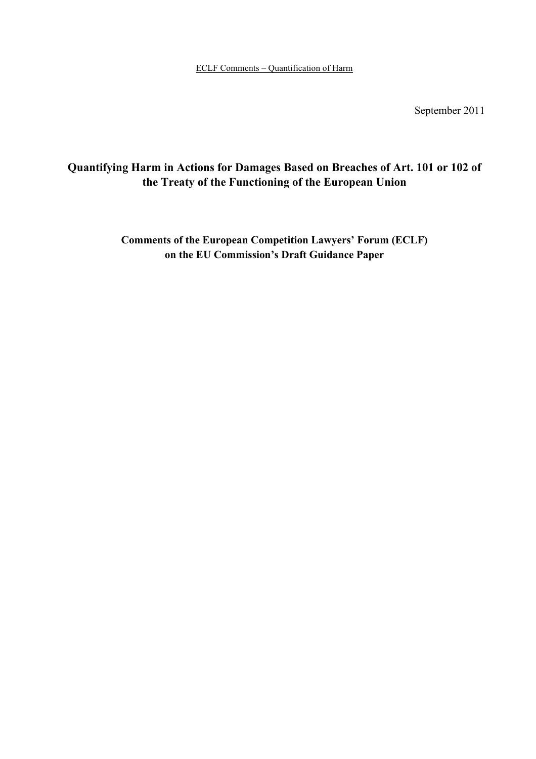September 2011

# **Quantifying Harm in Actions for Damages Based on Breaches of Art. 101 or 102 of the Treaty of the Functioning of the European Union**

**Comments of the European Competition Lawyers' Forum (ECLF) on the EU Commission's Draft Guidance Paper**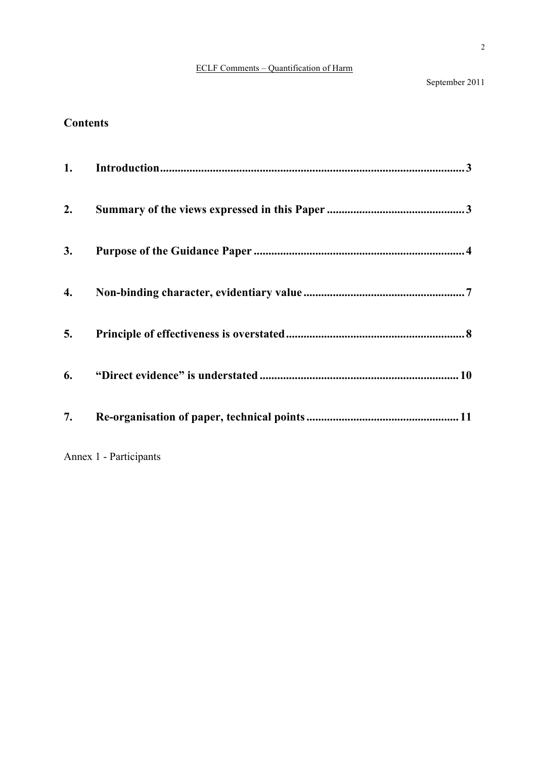September 2011

# **Contents**

| 1. |                        |
|----|------------------------|
| 2. |                        |
| 3. |                        |
| 4. |                        |
| 5. |                        |
| 6. |                        |
| 7. |                        |
|    | Annex 1 - Participants |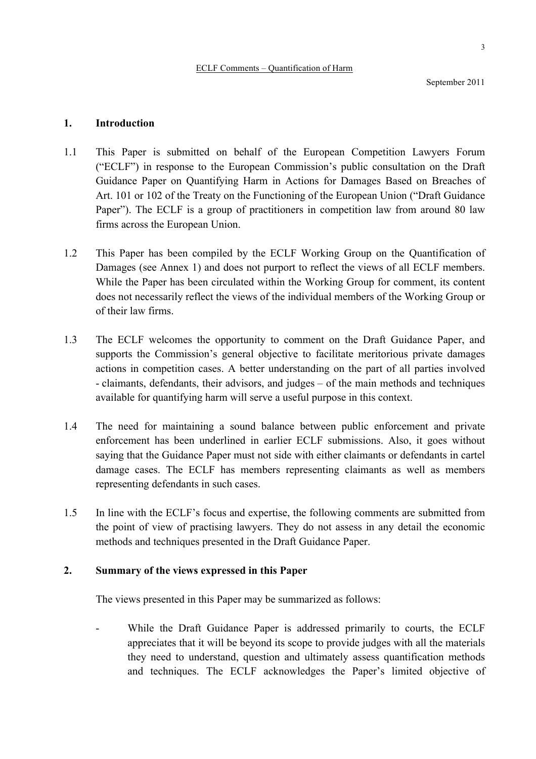#### **1. Introduction**

- 1.1 This Paper is submitted on behalf of the European Competition Lawyers Forum ("ECLF") in response to the European Commission's public consultation on the Draft Guidance Paper on Quantifying Harm in Actions for Damages Based on Breaches of Art. 101 or 102 of the Treaty on the Functioning of the European Union ("Draft Guidance Paper"). The ECLF is a group of practitioners in competition law from around 80 law firms across the European Union.
- 1.2 This Paper has been compiled by the ECLF Working Group on the Quantification of Damages (see Annex 1) and does not purport to reflect the views of all ECLF members. While the Paper has been circulated within the Working Group for comment, its content does not necessarily reflect the views of the individual members of the Working Group or of their law firms.
- 1.3 The ECLF welcomes the opportunity to comment on the Draft Guidance Paper, and supports the Commission's general objective to facilitate meritorious private damages actions in competition cases. A better understanding on the part of all parties involved - claimants, defendants, their advisors, and judges – of the main methods and techniques available for quantifying harm will serve a useful purpose in this context.
- 1.4 The need for maintaining a sound balance between public enforcement and private enforcement has been underlined in earlier ECLF submissions. Also, it goes without saying that the Guidance Paper must not side with either claimants or defendants in cartel damage cases. The ECLF has members representing claimants as well as members representing defendants in such cases.
- 1.5 In line with the ECLF's focus and expertise, the following comments are submitted from the point of view of practising lawyers. They do not assess in any detail the economic methods and techniques presented in the Draft Guidance Paper.

## **2. Summary of the views expressed in this Paper**

The views presented in this Paper may be summarized as follows:

While the Draft Guidance Paper is addressed primarily to courts, the ECLF appreciates that it will be beyond its scope to provide judges with all the materials they need to understand, question and ultimately assess quantification methods and techniques. The ECLF acknowledges the Paper's limited objective of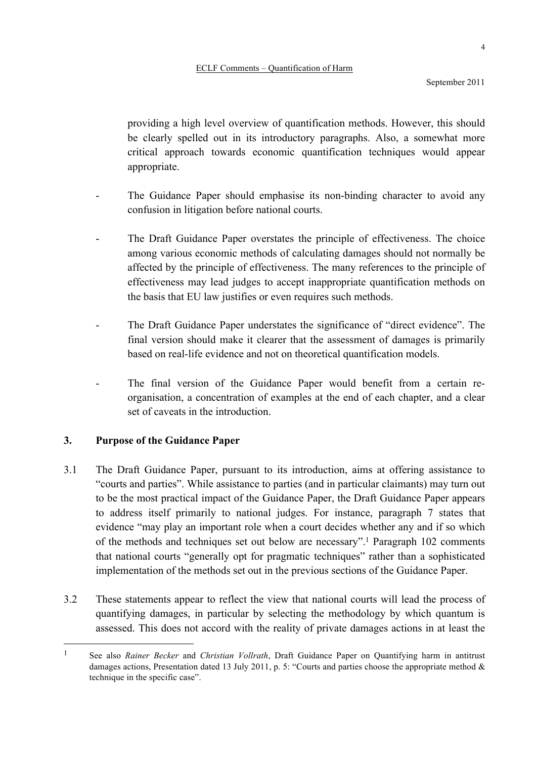providing a high level overview of quantification methods. However, this should be clearly spelled out in its introductory paragraphs. Also, a somewhat more critical approach towards economic quantification techniques would appear appropriate.

- The Guidance Paper should emphasise its non-binding character to avoid any confusion in litigation before national courts.
- The Draft Guidance Paper overstates the principle of effectiveness. The choice among various economic methods of calculating damages should not normally be affected by the principle of effectiveness. The many references to the principle of effectiveness may lead judges to accept inappropriate quantification methods on the basis that EU law justifies or even requires such methods.
- The Draft Guidance Paper understates the significance of "direct evidence". The final version should make it clearer that the assessment of damages is primarily based on real-life evidence and not on theoretical quantification models.
- The final version of the Guidance Paper would benefit from a certain reorganisation, a concentration of examples at the end of each chapter, and a clear set of caveats in the introduction.

## **3. Purpose of the Guidance Paper**

- 3.1 The Draft Guidance Paper, pursuant to its introduction, aims at offering assistance to "courts and parties". While assistance to parties (and in particular claimants) may turn out to be the most practical impact of the Guidance Paper, the Draft Guidance Paper appears to address itself primarily to national judges. For instance, paragraph 7 states that evidence "may play an important role when a court decides whether any and if so which of the methods and techniques set out below are necessary".1 Paragraph 102 comments that national courts "generally opt for pragmatic techniques" rather than a sophisticated implementation of the methods set out in the previous sections of the Guidance Paper.
- 3.2 These statements appear to reflect the view that national courts will lead the process of quantifying damages, in particular by selecting the methodology by which quantum is assessed. This does not accord with the reality of private damages actions in at least the

 <sup>1</sup> See also *Rainer Becker* and *Christian Vollrath*, Draft Guidance Paper on Quantifying harm in antitrust damages actions, Presentation dated 13 July 2011, p. 5: "Courts and parties choose the appropriate method & technique in the specific case".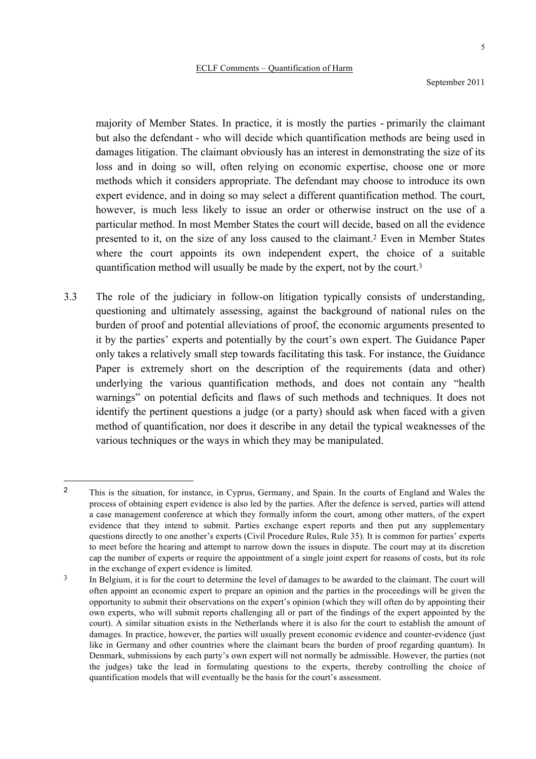September 2011

majority of Member States. In practice, it is mostly the parties - primarily the claimant but also the defendant - who will decide which quantification methods are being used in damages litigation. The claimant obviously has an interest in demonstrating the size of its loss and in doing so will, often relying on economic expertise, choose one or more methods which it considers appropriate. The defendant may choose to introduce its own expert evidence, and in doing so may select a different quantification method. The court, however, is much less likely to issue an order or otherwise instruct on the use of a particular method. In most Member States the court will decide, based on all the evidence presented to it, on the size of any loss caused to the claimant.2 Even in Member States where the court appoints its own independent expert, the choice of a suitable quantification method will usually be made by the expert, not by the court.3

3.3 The role of the judiciary in follow-on litigation typically consists of understanding, questioning and ultimately assessing, against the background of national rules on the burden of proof and potential alleviations of proof, the economic arguments presented to it by the parties' experts and potentially by the court's own expert. The Guidance Paper only takes a relatively small step towards facilitating this task. For instance, the Guidance Paper is extremely short on the description of the requirements (data and other) underlying the various quantification methods, and does not contain any "health warnings" on potential deficits and flaws of such methods and techniques. It does not identify the pertinent questions a judge (or a party) should ask when faced with a given method of quantification, nor does it describe in any detail the typical weaknesses of the various techniques or the ways in which they may be manipulated.

 $\overline{a}$ 

<sup>2</sup> This is the situation, for instance, in Cyprus, Germany, and Spain. In the courts of England and Wales the process of obtaining expert evidence is also led by the parties. After the defence is served, parties will attend a case management conference at which they formally inform the court, among other matters, of the expert evidence that they intend to submit. Parties exchange expert reports and then put any supplementary questions directly to one another's experts (Civil Procedure Rules, Rule 35). It is common for parties' experts to meet before the hearing and attempt to narrow down the issues in dispute. The court may at its discretion cap the number of experts or require the appointment of a single joint expert for reasons of costs, but its role in the exchange of expert evidence is limited.

<sup>&</sup>lt;sup>3</sup> In Belgium, it is for the court to determine the level of damages to be awarded to the claimant. The court will often appoint an economic expert to prepare an opinion and the parties in the proceedings will be given the opportunity to submit their observations on the expert's opinion (which they will often do by appointing their own experts, who will submit reports challenging all or part of the findings of the expert appointed by the court). A similar situation exists in the Netherlands where it is also for the court to establish the amount of damages. In practice, however, the parties will usually present economic evidence and counter-evidence (just like in Germany and other countries where the claimant bears the burden of proof regarding quantum). In Denmark, submissions by each party's own expert will not normally be admissible. However, the parties (not the judges) take the lead in formulating questions to the experts, thereby controlling the choice of quantification models that will eventually be the basis for the court's assessment.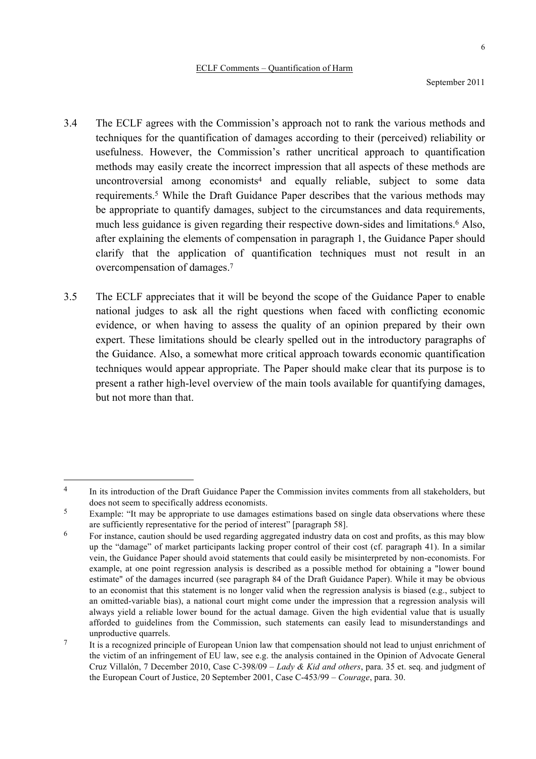- 3.4 The ECLF agrees with the Commission's approach not to rank the various methods and techniques for the quantification of damages according to their (perceived) reliability or usefulness. However, the Commission's rather uncritical approach to quantification methods may easily create the incorrect impression that all aspects of these methods are uncontroversial among economists<sup>4</sup> and equally reliable, subject to some data requirements.5 While the Draft Guidance Paper describes that the various methods may be appropriate to quantify damages, subject to the circumstances and data requirements, much less guidance is given regarding their respective down-sides and limitations.6 Also, after explaining the elements of compensation in paragraph 1, the Guidance Paper should clarify that the application of quantification techniques must not result in an overcompensation of damages.7
- 3.5 The ECLF appreciates that it will be beyond the scope of the Guidance Paper to enable national judges to ask all the right questions when faced with conflicting economic evidence, or when having to assess the quality of an opinion prepared by their own expert. These limitations should be clearly spelled out in the introductory paragraphs of the Guidance. Also, a somewhat more critical approach towards economic quantification techniques would appear appropriate. The Paper should make clear that its purpose is to present a rather high-level overview of the main tools available for quantifying damages, but not more than that.

<sup>&</sup>lt;sup>4</sup> In its introduction of the Draft Guidance Paper the Commission invites comments from all stakeholders, but does not seem to specifically address economists.

<sup>&</sup>lt;sup>5</sup> Example: "It may be appropriate to use damages estimations based on single data observations where these are sufficiently representative for the period of interest" [paragraph 58].

<sup>&</sup>lt;sup>6</sup> For instance, caution should be used regarding aggregated industry data on cost and profits, as this may blow up the "damage" of market participants lacking proper control of their cost (cf. paragraph 41). In a similar vein, the Guidance Paper should avoid statements that could easily be misinterpreted by non-economists. For example, at one point regression analysis is described as a possible method for obtaining a "lower bound estimate" of the damages incurred (see paragraph 84 of the Draft Guidance Paper). While it may be obvious to an economist that this statement is no longer valid when the regression analysis is biased (e.g., subject to an omitted-variable bias), a national court might come under the impression that a regression analysis will always yield a reliable lower bound for the actual damage. Given the high evidential value that is usually afforded to guidelines from the Commission, such statements can easily lead to misunderstandings and unproductive quarrels.

<sup>7</sup> It is a recognized principle of European Union law that compensation should not lead to unjust enrichment of the victim of an infringement of EU law, see e.g. the analysis contained in the Opinion of Advocate General Cruz Villalón, 7 December 2010, Case C-398/09 – *Lady & Kid and others*, para. 35 et. seq. and judgment of the European Court of Justice, 20 September 2001, Case C-453/99 – *Courage*, para. 30.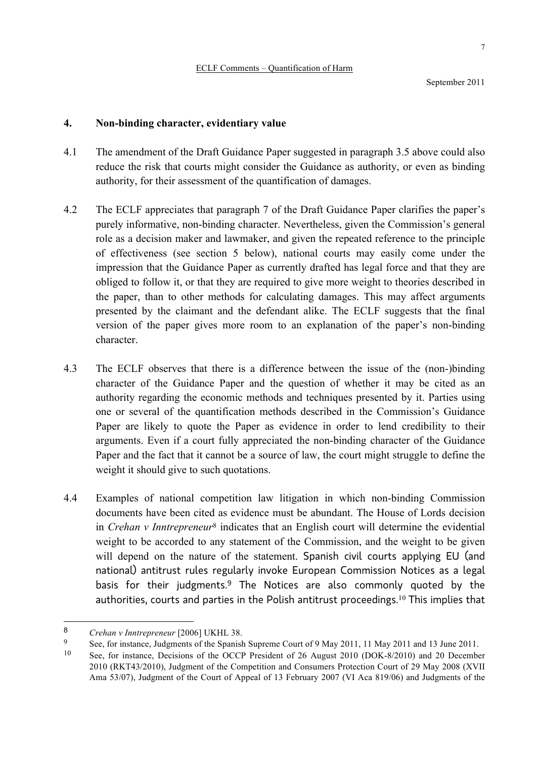## **4. Non-binding character, evidentiary value**

- 4.1 The amendment of the Draft Guidance Paper suggested in paragraph 3.5 above could also reduce the risk that courts might consider the Guidance as authority, or even as binding authority, for their assessment of the quantification of damages.
- 4.2 The ECLF appreciates that paragraph 7 of the Draft Guidance Paper clarifies the paper's purely informative, non-binding character. Nevertheless, given the Commission's general role as a decision maker and lawmaker, and given the repeated reference to the principle of effectiveness (see section 5 below), national courts may easily come under the impression that the Guidance Paper as currently drafted has legal force and that they are obliged to follow it, or that they are required to give more weight to theories described in the paper, than to other methods for calculating damages. This may affect arguments presented by the claimant and the defendant alike. The ECLF suggests that the final version of the paper gives more room to an explanation of the paper's non-binding character.
- 4.3 The ECLF observes that there is a difference between the issue of the (non-)binding character of the Guidance Paper and the question of whether it may be cited as an authority regarding the economic methods and techniques presented by it. Parties using one or several of the quantification methods described in the Commission's Guidance Paper are likely to quote the Paper as evidence in order to lend credibility to their arguments. Even if a court fully appreciated the non-binding character of the Guidance Paper and the fact that it cannot be a source of law, the court might struggle to define the weight it should give to such quotations.
- 4.4 Examples of national competition law litigation in which non-binding Commission documents have been cited as evidence must be abundant. The House of Lords decision in *Crehan v Inntrepreneur*<sup>8</sup> indicates that an English court will determine the evidential weight to be accorded to any statement of the Commission, and the weight to be given will depend on the nature of the statement. Spanish civil courts applying EU (and national) antitrust rules regularly invoke European Commission Notices as a legal basis for their judgments. <sup>9</sup> The Notices are also commonly quoted by the authorities, courts and parties in the Polish antitrust proceedings.<sup>10</sup> This implies that

 $\overline{a}$ 

<sup>8</sup> *Crehan v Inntrepreneur* [2006] UKHL 38.

<sup>9</sup> See, for instance, Judgments of the Spanish Supreme Court of 9 May 2011, 11 May 2011 and 13 June 2011.

<sup>10</sup> See, for instance, Decisions of the OCCP President of 26 August 2010 (DOK-8/2010) and 20 December 2010 (RKT43/2010), Judgment of the Competition and Consumers Protection Court of 29 May 2008 (XVII Ama 53/07), Judgment of the Court of Appeal of 13 February 2007 (VI Aca 819/06) and Judgments of the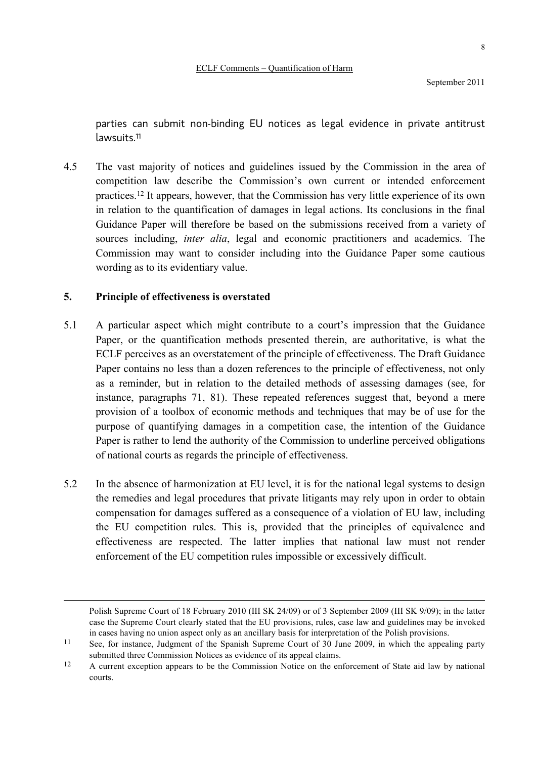parties can submit non-binding EU notices as legal evidence in private antitrust lawsuits.11

4.5 The vast majority of notices and guidelines issued by the Commission in the area of competition law describe the Commission's own current or intended enforcement practices.12 It appears, however, that the Commission has very little experience of its own in relation to the quantification of damages in legal actions. Its conclusions in the final Guidance Paper will therefore be based on the submissions received from a variety of sources including, *inter alia*, legal and economic practitioners and academics. The Commission may want to consider including into the Guidance Paper some cautious wording as to its evidentiary value.

## **5. Principle of effectiveness is overstated**

- 5.1 A particular aspect which might contribute to a court's impression that the Guidance Paper, or the quantification methods presented therein, are authoritative, is what the ECLF perceives as an overstatement of the principle of effectiveness. The Draft Guidance Paper contains no less than a dozen references to the principle of effectiveness, not only as a reminder, but in relation to the detailed methods of assessing damages (see, for instance, paragraphs 71, 81). These repeated references suggest that, beyond a mere provision of a toolbox of economic methods and techniques that may be of use for the purpose of quantifying damages in a competition case, the intention of the Guidance Paper is rather to lend the authority of the Commission to underline perceived obligations of national courts as regards the principle of effectiveness.
- 5.2 In the absence of harmonization at EU level, it is for the national legal systems to design the remedies and legal procedures that private litigants may rely upon in order to obtain compensation for damages suffered as a consequence of a violation of EU law, including the EU competition rules. This is, provided that the principles of equivalence and effectiveness are respected. The latter implies that national law must not render enforcement of the EU competition rules impossible or excessively difficult.

Polish Supreme Court of 18 February 2010 (III SK 24/09) or of 3 September 2009 (III SK 9/09); in the latter case the Supreme Court clearly stated that the EU provisions, rules, case law and guidelines may be invoked in cases having no union aspect only as an ancillary basis for interpretation of the Polish provisions.

<sup>&</sup>lt;sup>11</sup> See, for instance, Judgment of the Spanish Supreme Court of 30 June 2009, in which the appealing party submitted three Commission Notices as evidence of its appeal claims.

<sup>&</sup>lt;sup>12</sup> A current exception appears to be the Commission Notice on the enforcement of State aid law by national courts.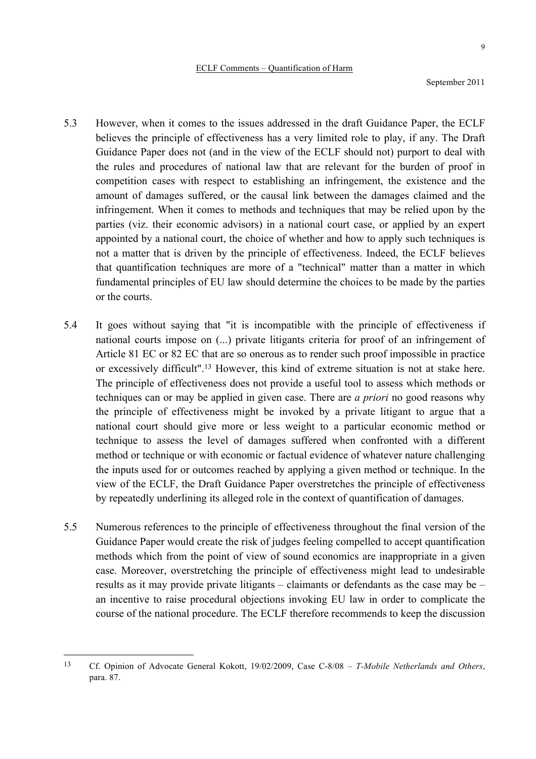- 5.3 However, when it comes to the issues addressed in the draft Guidance Paper, the ECLF believes the principle of effectiveness has a very limited role to play, if any. The Draft Guidance Paper does not (and in the view of the ECLF should not) purport to deal with the rules and procedures of national law that are relevant for the burden of proof in competition cases with respect to establishing an infringement, the existence and the amount of damages suffered, or the causal link between the damages claimed and the infringement. When it comes to methods and techniques that may be relied upon by the parties (viz. their economic advisors) in a national court case, or applied by an expert appointed by a national court, the choice of whether and how to apply such techniques is not a matter that is driven by the principle of effectiveness. Indeed, the ECLF believes that quantification techniques are more of a "technical" matter than a matter in which fundamental principles of EU law should determine the choices to be made by the parties or the courts.
- 5.4 It goes without saying that "it is incompatible with the principle of effectiveness if national courts impose on (...) private litigants criteria for proof of an infringement of Article 81 EC or 82 EC that are so onerous as to render such proof impossible in practice or excessively difficult".13 However, this kind of extreme situation is not at stake here. The principle of effectiveness does not provide a useful tool to assess which methods or techniques can or may be applied in given case. There are *a priori* no good reasons why the principle of effectiveness might be invoked by a private litigant to argue that a national court should give more or less weight to a particular economic method or technique to assess the level of damages suffered when confronted with a different method or technique or with economic or factual evidence of whatever nature challenging the inputs used for or outcomes reached by applying a given method or technique. In the view of the ECLF, the Draft Guidance Paper overstretches the principle of effectiveness by repeatedly underlining its alleged role in the context of quantification of damages.
- 5.5 Numerous references to the principle of effectiveness throughout the final version of the Guidance Paper would create the risk of judges feeling compelled to accept quantification methods which from the point of view of sound economics are inappropriate in a given case. Moreover, overstretching the principle of effectiveness might lead to undesirable results as it may provide private litigants – claimants or defendants as the case may be – an incentive to raise procedural objections invoking EU law in order to complicate the course of the national procedure. The ECLF therefore recommends to keep the discussion

 <sup>13</sup> Cf. Opinion of Advocate General Kokott, 19/02/2009, Case C-8/08 – *T-Mobile Netherlands and Others*, para. 87.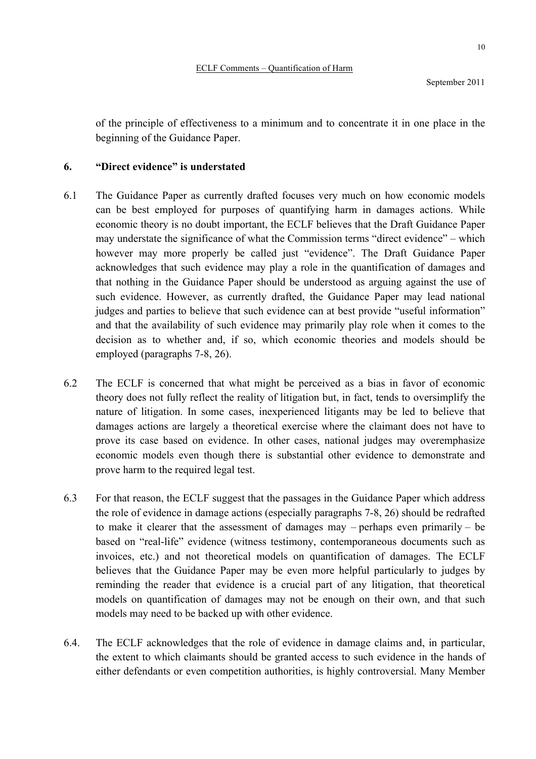of the principle of effectiveness to a minimum and to concentrate it in one place in the beginning of the Guidance Paper.

### **6. "Direct evidence" is understated**

- 6.1 The Guidance Paper as currently drafted focuses very much on how economic models can be best employed for purposes of quantifying harm in damages actions. While economic theory is no doubt important, the ECLF believes that the Draft Guidance Paper may understate the significance of what the Commission terms "direct evidence" – which however may more properly be called just "evidence". The Draft Guidance Paper acknowledges that such evidence may play a role in the quantification of damages and that nothing in the Guidance Paper should be understood as arguing against the use of such evidence. However, as currently drafted, the Guidance Paper may lead national judges and parties to believe that such evidence can at best provide "useful information" and that the availability of such evidence may primarily play role when it comes to the decision as to whether and, if so, which economic theories and models should be employed (paragraphs 7-8, 26).
- 6.2 The ECLF is concerned that what might be perceived as a bias in favor of economic theory does not fully reflect the reality of litigation but, in fact, tends to oversimplify the nature of litigation. In some cases, inexperienced litigants may be led to believe that damages actions are largely a theoretical exercise where the claimant does not have to prove its case based on evidence. In other cases, national judges may overemphasize economic models even though there is substantial other evidence to demonstrate and prove harm to the required legal test.
- 6.3 For that reason, the ECLF suggest that the passages in the Guidance Paper which address the role of evidence in damage actions (especially paragraphs 7-8, 26) should be redrafted to make it clearer that the assessment of damages may – perhaps even primarily – be based on "real-life" evidence (witness testimony, contemporaneous documents such as invoices, etc.) and not theoretical models on quantification of damages. The ECLF believes that the Guidance Paper may be even more helpful particularly to judges by reminding the reader that evidence is a crucial part of any litigation, that theoretical models on quantification of damages may not be enough on their own, and that such models may need to be backed up with other evidence.
- 6.4. The ECLF acknowledges that the role of evidence in damage claims and, in particular, the extent to which claimants should be granted access to such evidence in the hands of either defendants or even competition authorities, is highly controversial. Many Member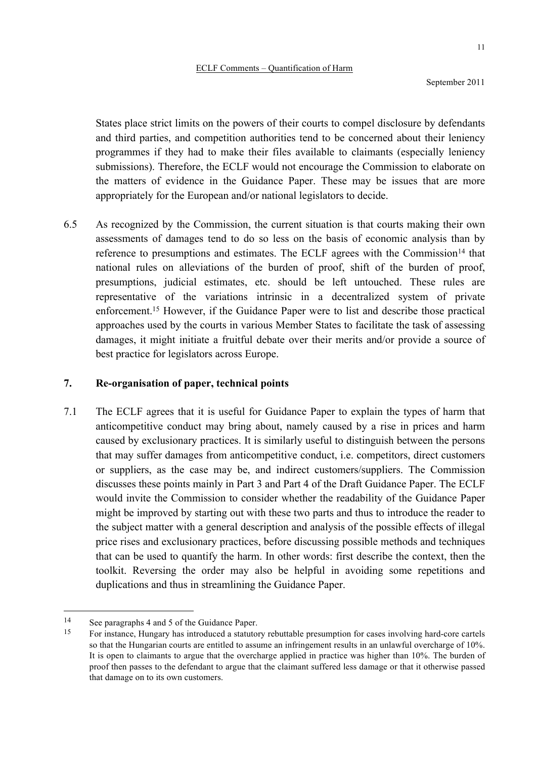September 2011

States place strict limits on the powers of their courts to compel disclosure by defendants and third parties, and competition authorities tend to be concerned about their leniency programmes if they had to make their files available to claimants (especially leniency submissions). Therefore, the ECLF would not encourage the Commission to elaborate on the matters of evidence in the Guidance Paper. These may be issues that are more appropriately for the European and/or national legislators to decide.

6.5 As recognized by the Commission, the current situation is that courts making their own assessments of damages tend to do so less on the basis of economic analysis than by reference to presumptions and estimates. The ECLF agrees with the Commission<sup>14</sup> that national rules on alleviations of the burden of proof, shift of the burden of proof, presumptions, judicial estimates, etc. should be left untouched. These rules are representative of the variations intrinsic in a decentralized system of private enforcement.15 However, if the Guidance Paper were to list and describe those practical approaches used by the courts in various Member States to facilitate the task of assessing damages, it might initiate a fruitful debate over their merits and/or provide a source of best practice for legislators across Europe.

## **7. Re-organisation of paper, technical points**

7.1 The ECLF agrees that it is useful for Guidance Paper to explain the types of harm that anticompetitive conduct may bring about, namely caused by a rise in prices and harm caused by exclusionary practices. It is similarly useful to distinguish between the persons that may suffer damages from anticompetitive conduct, i.e. competitors, direct customers or suppliers, as the case may be, and indirect customers/suppliers. The Commission discusses these points mainly in Part 3 and Part 4 of the Draft Guidance Paper. The ECLF would invite the Commission to consider whether the readability of the Guidance Paper might be improved by starting out with these two parts and thus to introduce the reader to the subject matter with a general description and analysis of the possible effects of illegal price rises and exclusionary practices, before discussing possible methods and techniques that can be used to quantify the harm. In other words: first describe the context, then the toolkit. Reversing the order may also be helpful in avoiding some repetitions and duplications and thus in streamlining the Guidance Paper.

 <sup>14</sup> See paragraphs 4 and 5 of the Guidance Paper.

<sup>15</sup> For instance, Hungary has introduced a statutory rebuttable presumption for cases involving hard-core cartels so that the Hungarian courts are entitled to assume an infringement results in an unlawful overcharge of 10%. It is open to claimants to argue that the overcharge applied in practice was higher than 10%. The burden of proof then passes to the defendant to argue that the claimant suffered less damage or that it otherwise passed that damage on to its own customers.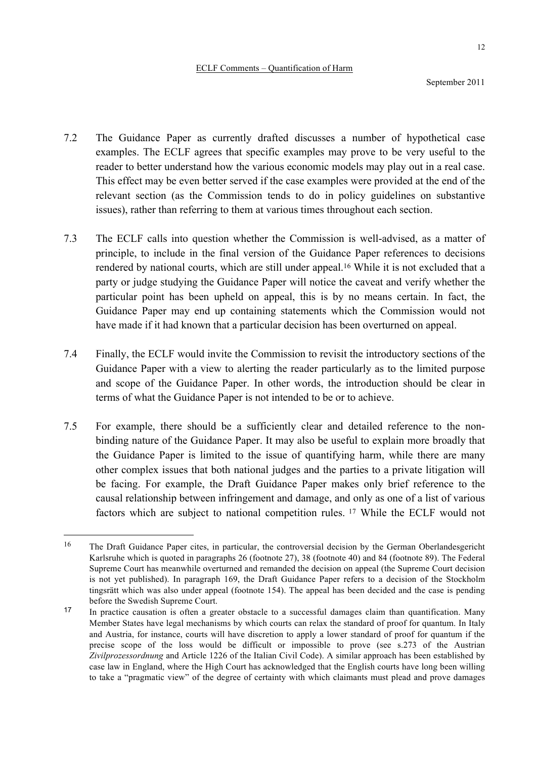- 7.2 The Guidance Paper as currently drafted discusses a number of hypothetical case examples. The ECLF agrees that specific examples may prove to be very useful to the reader to better understand how the various economic models may play out in a real case. This effect may be even better served if the case examples were provided at the end of the relevant section (as the Commission tends to do in policy guidelines on substantive issues), rather than referring to them at various times throughout each section.
- 7.3 The ECLF calls into question whether the Commission is well-advised, as a matter of principle, to include in the final version of the Guidance Paper references to decisions rendered by national courts, which are still under appeal.16 While it is not excluded that a party or judge studying the Guidance Paper will notice the caveat and verify whether the particular point has been upheld on appeal, this is by no means certain. In fact, the Guidance Paper may end up containing statements which the Commission would not have made if it had known that a particular decision has been overturned on appeal.
- 7.4 Finally, the ECLF would invite the Commission to revisit the introductory sections of the Guidance Paper with a view to alerting the reader particularly as to the limited purpose and scope of the Guidance Paper. In other words, the introduction should be clear in terms of what the Guidance Paper is not intended to be or to achieve.
- 7.5 For example, there should be a sufficiently clear and detailed reference to the nonbinding nature of the Guidance Paper. It may also be useful to explain more broadly that the Guidance Paper is limited to the issue of quantifying harm, while there are many other complex issues that both national judges and the parties to a private litigation will be facing. For example, the Draft Guidance Paper makes only brief reference to the causal relationship between infringement and damage, and only as one of a list of various factors which are subject to national competition rules. <sup>17</sup> While the ECLF would not

 <sup>16</sup> The Draft Guidance Paper cites, in particular, the controversial decision by the German Oberlandesgericht Karlsruhe which is quoted in paragraphs 26 (footnote 27), 38 (footnote 40) and 84 (footnote 89). The Federal Supreme Court has meanwhile overturned and remanded the decision on appeal (the Supreme Court decision is not yet published). In paragraph 169, the Draft Guidance Paper refers to a decision of the Stockholm tingsrätt which was also under appeal (footnote 154). The appeal has been decided and the case is pending before the Swedish Supreme Court.

<sup>17</sup> In practice causation is often a greater obstacle to a successful damages claim than quantification. Many Member States have legal mechanisms by which courts can relax the standard of proof for quantum. In Italy and Austria, for instance, courts will have discretion to apply a lower standard of proof for quantum if the precise scope of the loss would be difficult or impossible to prove (see s.273 of the Austrian *Zivilprozessordnung* and Article 1226 of the Italian Civil Code). A similar approach has been established by case law in England, where the High Court has acknowledged that the English courts have long been willing to take a "pragmatic view" of the degree of certainty with which claimants must plead and prove damages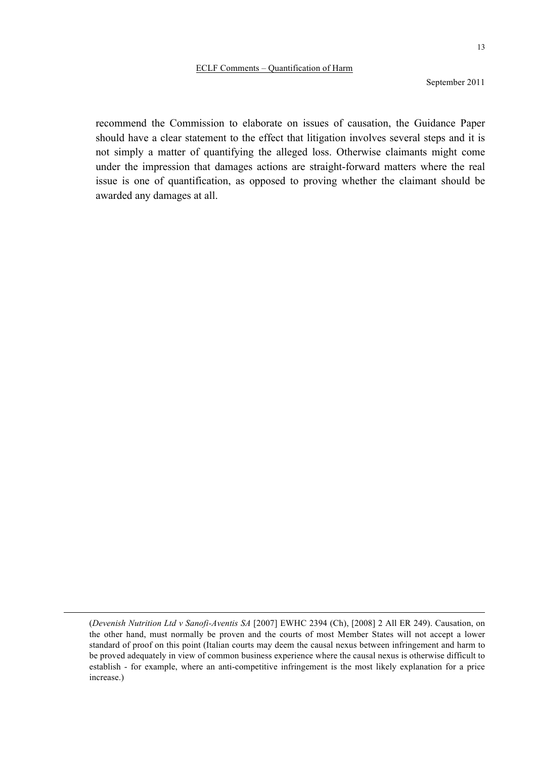September 2011

recommend the Commission to elaborate on issues of causation, the Guidance Paper should have a clear statement to the effect that litigation involves several steps and it is not simply a matter of quantifying the alleged loss. Otherwise claimants might come under the impression that damages actions are straight-forward matters where the real issue is one of quantification, as opposed to proving whether the claimant should be awarded any damages at all.

<sup>(</sup>*Devenish Nutrition Ltd v Sanofi-Aventis SA* [2007] EWHC 2394 (Ch), [2008] 2 All ER 249). Causation, on the other hand, must normally be proven and the courts of most Member States will not accept a lower standard of proof on this point (Italian courts may deem the causal nexus between infringement and harm to be proved adequately in view of common business experience where the causal nexus is otherwise difficult to establish - for example, where an anti-competitive infringement is the most likely explanation for a price increase.)